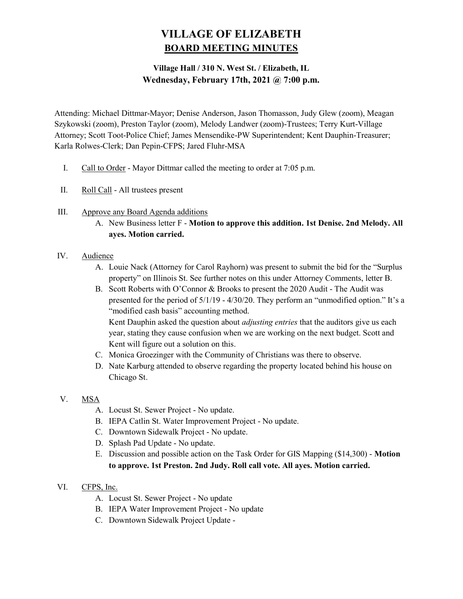# VILLAGE OF ELIZABETH BOARD MEETING MINUTES

# Village Hall / 310 N. West St. / Elizabeth, IL Wednesday, February 17th, 2021 @ 7:00 p.m.

Attending: Michael Dittmar-Mayor; Denise Anderson, Jason Thomasson, Judy Glew (zoom), Meagan Szykowski (zoom), Preston Taylor (zoom), Melody Landwer (zoom)-Trustees; Terry Kurt-Village Attorney; Scott Toot-Police Chief; James Mensendike-PW Superintendent; Kent Dauphin-Treasurer; Karla Rolwes-Clerk; Dan Pepin-CFPS; Jared Fluhr-MSA

- I. Call to Order Mayor Dittmar called the meeting to order at 7:05 p.m.
- II. Roll Call All trustees present
- III. Approve any Board Agenda additions
	- A. New Business letter F Motion to approve this addition. 1st Denise. 2nd Melody. All ayes. Motion carried.

## IV. Audience

- A. Louie Nack (Attorney for Carol Rayhorn) was present to submit the bid for the "Surplus property" on Illinois St. See further notes on this under Attorney Comments, letter B.
- B. Scott Roberts with O'Connor & Brooks to present the 2020 Audit The Audit was presented for the period of 5/1/19 - 4/30/20. They perform an "unmodified option." It's a "modified cash basis" accounting method.

Kent Dauphin asked the question about *adjusting entries* that the auditors give us each year, stating they cause confusion when we are working on the next budget. Scott and Kent will figure out a solution on this.

- C. Monica Groezinger with the Community of Christians was there to observe.
- D. Nate Karburg attended to observe regarding the property located behind his house on Chicago St.
- V. MSA
	- A. Locust St. Sewer Project No update.
	- B. IEPA Catlin St. Water Improvement Project No update.
	- C. Downtown Sidewalk Project No update.
	- D. Splash Pad Update No update.
	- E. Discussion and possible action on the Task Order for GIS Mapping (\$14,300) Motion to approve. 1st Preston. 2nd Judy. Roll call vote. All ayes. Motion carried.
- VI. CFPS, Inc.
	- A. Locust St. Sewer Project No update
	- B. IEPA Water Improvement Project No update
	- C. Downtown Sidewalk Project Update -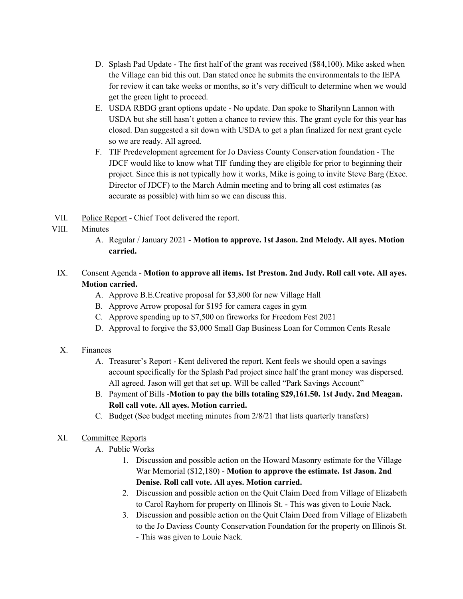- D. Splash Pad Update The first half of the grant was received (\$84,100). Mike asked when the Village can bid this out. Dan stated once he submits the environmentals to the IEPA for review it can take weeks or months, so it's very difficult to determine when we would get the green light to proceed.
- E. USDA RBDG grant options update No update. Dan spoke to Sharilynn Lannon with USDA but she still hasn't gotten a chance to review this. The grant cycle for this year has closed. Dan suggested a sit down with USDA to get a plan finalized for next grant cycle so we are ready. All agreed.
- F. TIF Predevelopment agreement for Jo Daviess County Conservation foundation The JDCF would like to know what TIF funding they are eligible for prior to beginning their project. Since this is not typically how it works, Mike is going to invite Steve Barg (Exec. Director of JDCF) to the March Admin meeting and to bring all cost estimates (as accurate as possible) with him so we can discuss this.
- VII. Police Report Chief Toot delivered the report.

## VIII. Minutes

- A. Regular / January 2021 Motion to approve. 1st Jason. 2nd Melody. All ayes. Motion carried.
- IX. Consent Agenda Motion to approve all items. 1st Preston. 2nd Judy. Roll call vote. All ayes. Motion carried.
	- A. Approve B.E.Creative proposal for \$3,800 for new Village Hall
	- B. Approve Arrow proposal for \$195 for camera cages in gym
	- C. Approve spending up to \$7,500 on fireworks for Freedom Fest 2021
	- D. Approval to forgive the \$3,000 Small Gap Business Loan for Common Cents Resale

#### X. Finances

- A. Treasurer's Report Kent delivered the report. Kent feels we should open a savings account specifically for the Splash Pad project since half the grant money was dispersed. All agreed. Jason will get that set up. Will be called "Park Savings Account"
- B. Payment of Bills -Motion to pay the bills totaling \$29,161.50. 1st Judy. 2nd Meagan. Roll call vote. All ayes. Motion carried.
- C. Budget (See budget meeting minutes from 2/8/21 that lists quarterly transfers)

#### XI. Committee Reports

- A. Public Works
	- 1. Discussion and possible action on the Howard Masonry estimate for the Village War Memorial (\$12,180) - Motion to approve the estimate. 1st Jason. 2nd Denise. Roll call vote. All ayes. Motion carried.
	- 2. Discussion and possible action on the Quit Claim Deed from Village of Elizabeth to Carol Rayhorn for property on Illinois St. - This was given to Louie Nack.
	- 3. Discussion and possible action on the Quit Claim Deed from Village of Elizabeth to the Jo Daviess County Conservation Foundation for the property on Illinois St. - This was given to Louie Nack.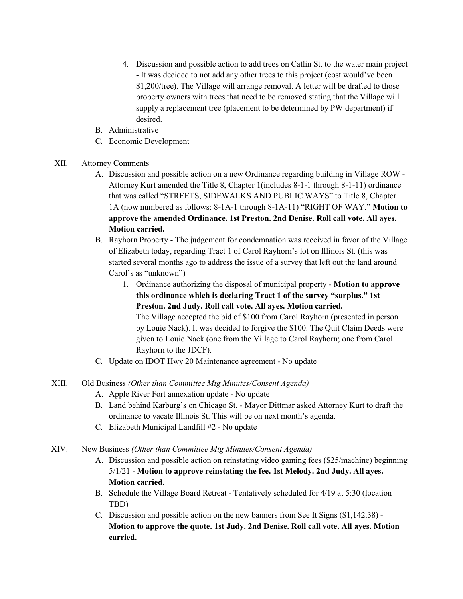- 4. Discussion and possible action to add trees on Catlin St. to the water main project - It was decided to not add any other trees to this project (cost would've been \$1,200/tree). The Village will arrange removal. A letter will be drafted to those property owners with trees that need to be removed stating that the Village will supply a replacement tree (placement to be determined by PW department) if desired.
- B. Administrative
- C. Economic Development
- XII. Attorney Comments
	- A. Discussion and possible action on a new Ordinance regarding building in Village ROW Attorney Kurt amended the Title 8, Chapter 1(includes 8-1-1 through 8-1-11) ordinance that was called "STREETS, SIDEWALKS AND PUBLIC WAYS" to Title 8, Chapter 1A (now numbered as follows: 8-1A-1 through 8-1A-11) "RIGHT OF WAY." Motion to approve the amended Ordinance. 1st Preston. 2nd Denise. Roll call vote. All ayes. Motion carried.
	- B. Rayhorn Property The judgement for condemnation was received in favor of the Village of Elizabeth today, regarding Tract 1 of Carol Rayhorn's lot on Illinois St. (this was started several months ago to address the issue of a survey that left out the land around Carol's as "unknown")
		- 1. Ordinance authorizing the disposal of municipal property Motion to approve this ordinance which is declaring Tract 1 of the survey "surplus." 1st Preston. 2nd Judy. Roll call vote. All ayes. Motion carried. The Village accepted the bid of \$100 from Carol Rayhorn (presented in person by Louie Nack). It was decided to forgive the \$100. The Quit Claim Deeds were given to Louie Nack (one from the Village to Carol Rayhorn; one from Carol Rayhorn to the JDCF).
	- C. Update on IDOT Hwy 20 Maintenance agreement No update
- XIII. Old Business (Other than Committee Mtg Minutes/Consent Agenda)
	- A. Apple River Fort annexation update No update
	- B. Land behind Karburg's on Chicago St. Mayor Dittmar asked Attorney Kurt to draft the ordinance to vacate Illinois St. This will be on next month's agenda.
	- C. Elizabeth Municipal Landfill #2 No update
- XIV. New Business (Other than Committee Mtg Minutes/Consent Agenda)
	- A. Discussion and possible action on reinstating video gaming fees (\$25/machine) beginning 5/1/21 - Motion to approve reinstating the fee. 1st Melody. 2nd Judy. All ayes. Motion carried.
	- B. Schedule the Village Board Retreat Tentatively scheduled for 4/19 at 5:30 (location TBD)
	- C. Discussion and possible action on the new banners from See It Signs (\$1,142.38) Motion to approve the quote. 1st Judy. 2nd Denise. Roll call vote. All ayes. Motion carried.